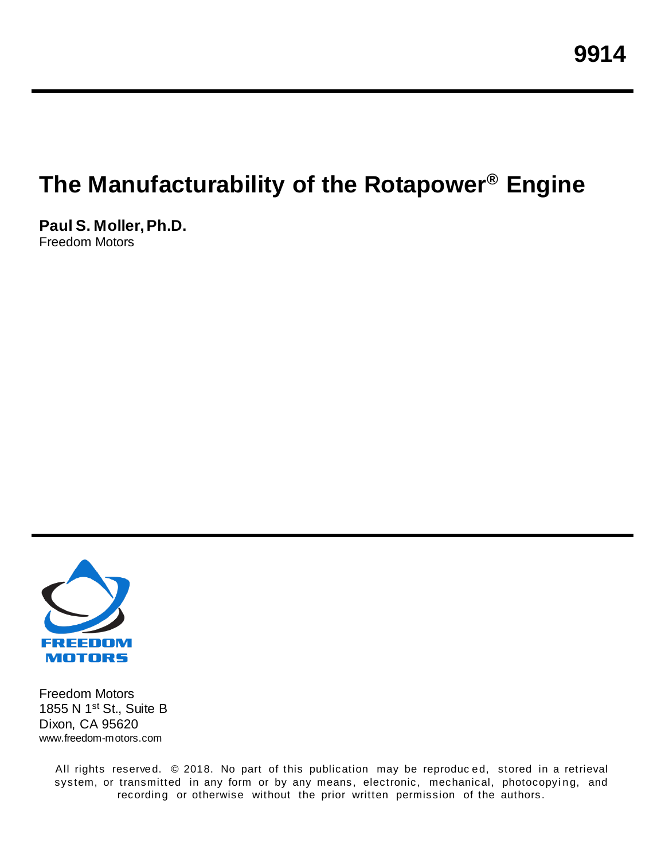# **The Manufacturability of the Rotapower® Engine**

**Paul S. Moller, Ph.D.** Freedom Motors



Freedom Motors 1855 N 1st St., Suite B Dixon, CA 95620 www.freedom-motors.com

> All rights reserved. © 2018. No part of this publication may be reproduc ed, stored in a retrieval system, or transmitted in any form or by any means, electronic, mechanical, photocopying, and recording or otherwise without the prior written permission of the authors.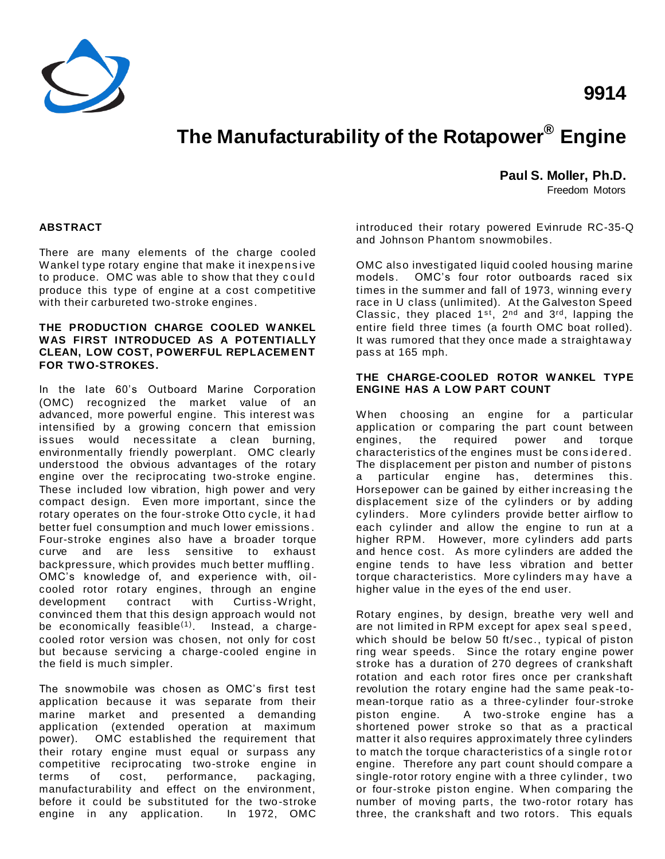

### **9914**

## **The Manufacturability of the Rotapower® Engine**

**Paul S. Moller, Ph.D.**

Freedom Motors

#### **ABSTRACT**

There are many elements of the charge cooled Wankel type rotary engine that make it inexpensive to produce. OMC was able to show that they could produce this type of engine at a cost competitive with their carbureted two-stroke engines.

#### **THE PRODUCTION CHARGE COOLED WANKEL WAS FIRST INTRODUCED AS A POTENTIALLY CLEAN, LOW COST, POWERFUL REPLACEM ENT FOR TWO-STROKES.**

In the late 60's Outboard Marine Corporation (OMC) recognized the market value of an advanced, more powerful engine. This interest was intensified by a growing concern that emission issues would necessitate a clean burning, environmentally friendly powerplant. OMC clearly understood the obvious advantages of the rotary engine over the reciprocating two-stroke engine. These included low vibration, high power and very compact design. Even more important, since the rotary operates on the four-stroke Otto cycle, it had better fuel consumption and much lower emissions . Four-stroke engines also have a broader torque curve and are less sensitive to exhaust backpressure, which provides much better muffling. OMC's knowledge of, and experience with, oilcooled rotor rotary engines, through an engine development contract with Curtiss -Wright, convinced them that this design approach would not be economically feasible $(1)$ . Instead, a chargecooled rotor version was chosen, not only for cost but because servicing a charge-cooled engine in the field is much simpler.

The snowmobile was chosen as OMC's first test application because it was separate from their marine market and presented a demanding application (extended operation at maximum power). OMC established the requirement that their rotary engine must equal or surpass any competitive reciprocating two-stroke engine in terms of cost, performance, packaging, manufacturability and effect on the environment, before it could be substituted for the two-stroke engine in any application. In 1972, OMC

introduced their rotary powered Evinrude RC-35-Q and Johnson Phantom snowmobiles.

OMC also investigated liquid cooled housing marine models. OMC's four rotor outboards raced six times in the summer and fall of 1973, winning every race in U class (unlimited). At the Galveston Speed Classic, they placed  $1^{st}$ ,  $2^{nd}$  and  $3^{rd}$ , lapping the entire field three times (a fourth OMC boat rolled). It was rumored that they once made a straightaway pass at 165 mph.

#### **THE CHARGE-COOLED ROTOR WANKEL TYPE ENGINE HAS A LOW PART COUNT**

When choosing an engine for a particular application or comparing the part count between engines, the required power and torque characteristics of the engines must be considered. The displacement per piston and number of pistons a particular engine has, determines this. Horsepower can be gained by either increasing the displacement size of the cylinders or by adding cylinders. More cylinders provide better airflow to each cylinder and allow the engine to run at a higher RPM. However, more cylinders add parts and hence cost. As more cylinders are added the engine tends to have less vibration and better torque characteristics. More cylinders m ay have a higher value in the eyes of the end user.

Rotary engines, by design, breathe very well and are not limited in RPM except for apex seal s peed, which should be below 50 ft/sec., typical of piston ring wear speeds. Since the rotary engine power stroke has a duration of 270 degrees of crankshaft rotation and each rotor fires once per crankshaft revolution the rotary engine had the same peak -tomean-torque ratio as a three-cylinder four-stroke piston engine. A two-stroke engine has a shortened power stroke so that as a practical matter it also requires approximately three cylinders to match the torque characteristics of a single rot or engine. Therefore any part count should compare a single-rotor rotory engine with a three cylinder, t wo or four-stroke piston engine. When comparing the number of moving parts, the two-rotor rotary has three, the crankshaft and two rotors. This equals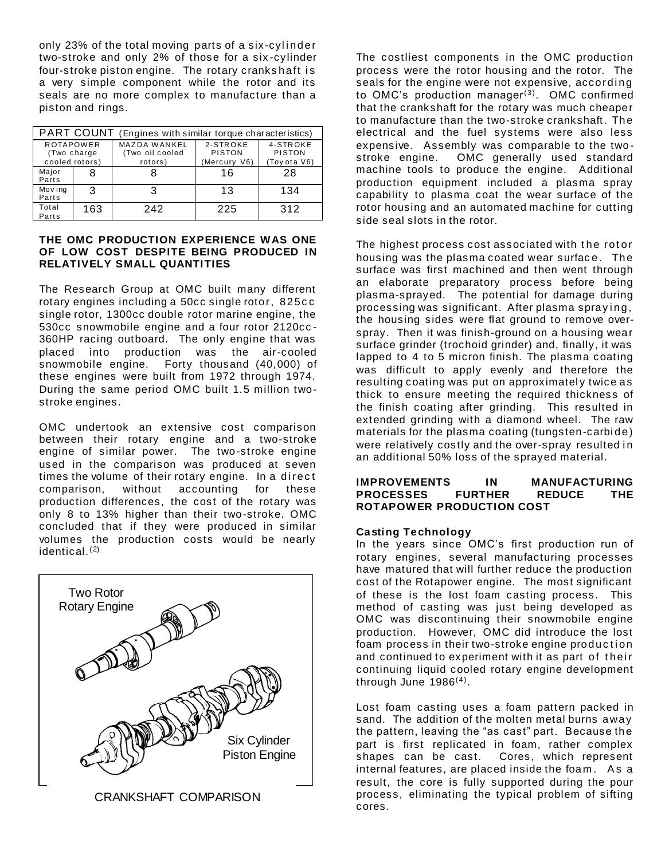only 23% of the total moving parts of a six-cylinder two-stroke and only 2% of those for a six -cylinder four-stroke piston engine. The rotary crankshaft is a very simple component while the rotor and its seals are no more complex to manufacture than a piston and rings.

| PART COUNT<br>(Engines with similar torque characteristics) |     |                                                   |                                           |                                           |
|-------------------------------------------------------------|-----|---------------------------------------------------|-------------------------------------------|-------------------------------------------|
| <b>ROTAPOWER</b><br>(Two charge<br>cooled rotors)           |     | <b>MAZDA WANKEL</b><br>(Two oil cooled<br>rotors) | 2-STROKE<br><b>PISTON</b><br>(Mercury V6) | 4-STROKE<br><b>PISTON</b><br>(Toy ota V6) |
| Major<br>Parts                                              |     |                                                   | 16                                        | 28                                        |
| Mov ing<br>Parts                                            | 3   |                                                   | 13                                        | 134                                       |
| Total<br>Parts                                              | 163 | 242                                               | 225                                       | 312                                       |

#### **THE OMC PRODUCTION EXPERIENCE WAS ONE OF LOW COST DESPITE BEING PRODUCED IN RELATIVELY SMALL QUANTITIES**

The Research Group at OMC built many different rotary engines including a 50cc single rotor, 825c c single rotor, 1300cc double rotor marine engine, the 530cc snowmobile engine and a four rotor 2120cc - 360HP racing outboard. The only engine that was placed into production was the air-cooled snowmobile engine. Forty thousand (40,000) of these engines were built from 1972 through 1974. During the same period OMC built 1.5 million twostroke engines.

OMC undertook an extensive cost comparison between their rotary engine and a two-stroke engine of similar power. The two-stroke engine used in the comparison was produced at seven times the volume of their rotary engine. In a direct comparison, without accounting for these production differences, the cost of the rotary was only 8 to 13% higher than their two-stroke. OMC concluded that if they were produced in similar volumes the production costs would be nearly identical. (2)



CRANKSHAFT COMPARISON

The costliest components in the OMC production process were the rotor housing and the rotor. The seals for the engine were not expensive, according to OMC's production manager<sup>(3)</sup>. OMC confirmed that the crankshaft for the rotary was much cheaper to manufacture than the two-stroke crankshaft. The electrical and the fuel systems were also less expensive. Assembly was comparable to the twostroke engine. OMC generally used standard machine tools to produce the engine. Additional production equipment included a plasma spray capability to plasma coat the wear surface of the rotor housing and an automated machine for cutting side seal slots in the rotor.

The highest process cost associated with the rotor housing was the plasma coated wear surface. The surface was first machined and then went through an elaborate preparatory process before being plasma-sprayed. The potential for damage during processing was significant. After plasma spraying, the housing sides were flat ground to remove overspray. Then it was finish-ground on a housing wear surface grinder (trochoid grinder) and, finally, it was lapped to 4 to 5 micron finish. The plasma coating was difficult to apply evenly and therefore the resulting coating was put on approximately twice as thick to ensure meeting the required thickness of the finish coating after grinding. This resulted in extended grinding with a diamond wheel. The raw materials for the plasma coating (tungsten-carbide) were relatively costly and the over-spray resulted in an additional 50% loss of the sprayed material.

#### **IMPROVEMENTS IN MANUFACTURING PROCESSES FURTHER REDUCE THE ROTAPOWER PRODUCTION COST**

#### **Casting Technology**

In the years since OMC's first production run of rotary engines, several manufacturing processes have matured that will further reduce the production cost of the Rotapower engine. The most significant of these is the lost foam casting process. This method of casting was just being developed as OMC was discontinuing their snowmobile engine production. However, OMC did introduce the lost foam process in their two-stroke engine production and continued to experiment with it as part of their continuing liquid cooled rotary engine development through June  $1986^{(4)}$ .

Lost foam casting uses a foam pattern packed in sand. The addition of the molten metal burns away the pattern, leaving the "as cast" part. Because the part is first replicated in foam, rather complex shapes can be cast. Cores, which represent internal features, are placed inside the foam. As a result, the core is fully supported during the pour process, eliminating the typical problem of sifting cores.